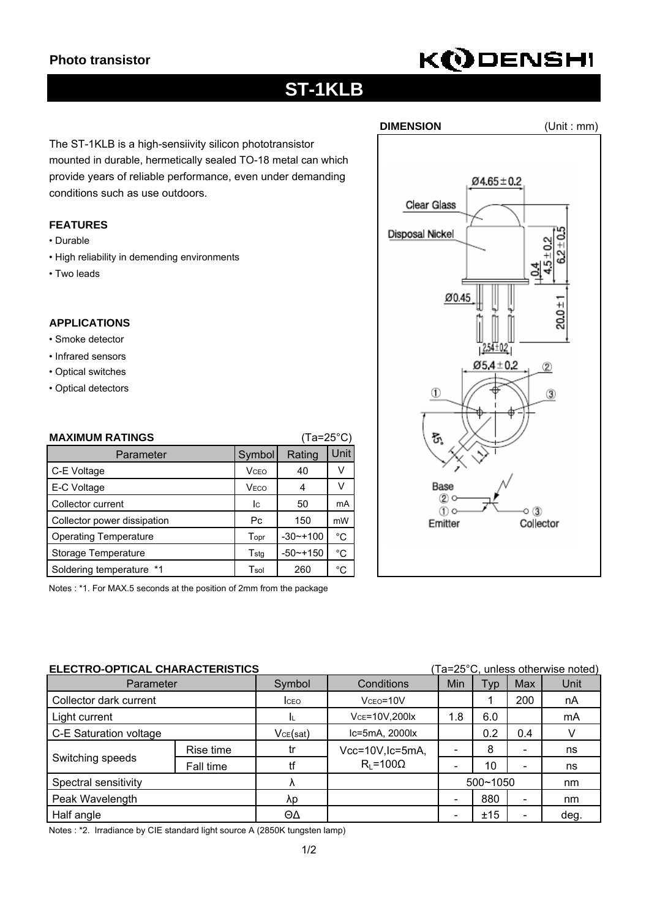# **KODENSHI**

## **ST-1KLB**

The ST-1KLB is a high-sensiivity silicon phototransistor mounted in durable, hermetically sealed TO-18 metal can which provide years of reliable performance, even under demanding conditions such as use outdoors.

### **FEATURES**

- Durable
- High reliability in demending environments
- Two leads

### **APPLICATIONS**

- Smoke detector
- Infrared sensors
- Optical switches
- Optical detectors

| <b>MAXIMUM RATINGS</b><br>$(Ta=25^{\circ}C)$ |              |              |              |  |
|----------------------------------------------|--------------|--------------|--------------|--|
| Symbol<br>Parameter                          |              | Rating       | Unit         |  |
| C-E Voltage                                  | <b>V</b> CEO | 40           | V            |  |
| E-C Voltage                                  | <b>VECO</b>  | 4            | v            |  |
| Collector current                            | Ic.          | 50           | mA           |  |
| Collector power dissipation                  | Рc           | 150          | mW           |  |
| <b>Operating Temperature</b>                 | Topr         | $-30$ $-100$ | °C           |  |
| Storage Temperature                          | Tstg         | $-50$ ~+150  | °C           |  |
| Soldering temperature *1                     | Tsol         | 260          | $^{\circ}$ C |  |

Notes : \*1. For MAX.5 seconds at the position of 2mm from the package

| ELECTRO-OPTICAL CHARACTERISTICS<br>(Ta=25°C, unless otherwise noted) |           |              |                     |          |            |                              |      |
|----------------------------------------------------------------------|-----------|--------------|---------------------|----------|------------|------------------------------|------|
| Parameter                                                            |           | Symbol       | Conditions          | Min      | <b>Typ</b> | Max                          | Unit |
| Collector dark current                                               |           | <b>I</b> CEO | $Vceo = 10V$        |          |            | 200                          | nA   |
| Light current                                                        |           |              | VCE=10V,200lx       | 1.8      | 6.0        |                              | mA   |
| C-E Saturation voltage                                               |           | VCE(sat)     | Ic=5mA, 2000lx      |          | 0.2        | 0.4                          |      |
| Switching speeds                                                     | Rise time | tr           | Vcc=10V, Ic=5mA,    |          | 8          | -                            | ns   |
|                                                                      | Fall time | tf           | $R_{I} = 100\Omega$ |          | 10         | $\overline{\phantom{a}}$     | ns   |
| Spectral sensitivity                                                 |           | Λ            |                     | 500~1050 |            | nm                           |      |
| Peak Wavelength                                                      |           | λp           |                     |          | 880        | $\qquad \qquad \blacksquare$ | nm   |
| Half angle                                                           |           | ΘΔ           |                     |          | ±15        | $\overline{\phantom{0}}$     | deg. |

Notes : \*2. Irradiance by CIE standard light source A (2850K tungsten lamp)